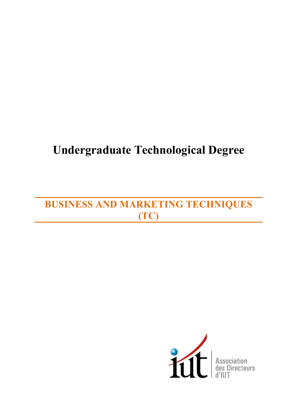# **Undergraduate Technological Degree**

# **BUSINESS AND MARKETING TECHNIQUES (TC)**

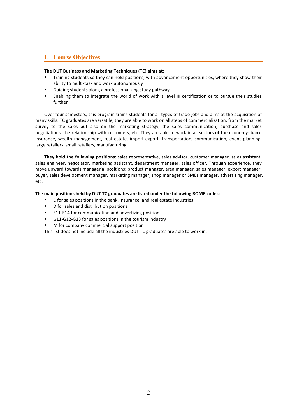# **1. Course Objectives**

# The DUT Business and Marketing Techniques (TC) aims at:

- Training students so they can hold positions, with advancement opportunities, where they show their ability to multi-task and work autonomously
- Guiding students along a professionalizing study pathway
- Enabling them to integrate the world of work with a level III certification or to pursue their studies further

Over four semesters, this program trains students for all types of trade jobs and aims at the acquisition of many skills. TC graduates are versatile, they are able to work on all steps of commercialization: from the market survey to the sales but also on the marketing strategy, the sales communication, purchase and sales negotiations, the relationship with customers, etc. They are able to work in all sectors of the economy: bank, insurance, wealth management, real estate, import-export, transportation, communication, event planning, large retailers, small retailers, manufacturing.

**They hold the following positions:** sales representative, sales advisor, customer manager, sales assistant, sales engineer, negotiator, marketing assistant, department manager, sales officer. Through experience, they move upward towards managerial positions: product manager, area manager, sales manager, export manager, buyer, sales development manager, marketing manager, shop manager or SMEs manager, advertizing manager, etc.

# The main positions held by DUT TC graduates are listed under the following ROME codes:

- C for sales positions in the bank, insurance, and real estate industries
- D for sales and distribution positions
- E11-E14 for communication and advertizing positions
- G11-G12-G13 for sales positions in the tourism industry
- M for company commercial support position

This list does not include all the industries DUT TC graduates are able to work in.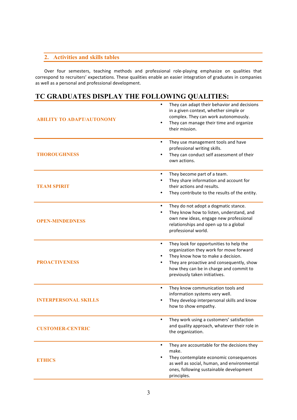# **2. Activities and skills tables**

Over four semesters, teaching methods and professional role-playing emphasize on qualities that correspond to recruiters' expectations. These qualities enable an easier integration of graduates in companies as well as a personal and professional development.

# **TC GRADUATES DISPLAY THE FOLLOWING QUALITIES:**

| <b>ABILITY TO ADAPT/AUTONOMY</b> | They can adapt their behavior and decisions<br>in a given context, whether simple or<br>complex. They can work autonomously.<br>They can manage their time and organize<br>$\bullet$<br>their mission.                                                                     |
|----------------------------------|----------------------------------------------------------------------------------------------------------------------------------------------------------------------------------------------------------------------------------------------------------------------------|
| <b>THOROUGHNESS</b>              | They use management tools and have<br>$\bullet$<br>professional writing skills.<br>They can conduct self assessment of their<br>$\bullet$<br>own actions.                                                                                                                  |
| <b>TEAM SPIRIT</b>               | They become part of a team.<br>$\bullet$<br>They share information and account for<br>٠<br>their actions and results.<br>They contribute to the results of the entity.                                                                                                     |
| <b>OPEN-MINDEDNESS</b>           | They do not adopt a dogmatic stance.<br>$\bullet$<br>They know how to listen, understand, and<br>$\bullet$<br>own new ideas, engage new professional<br>relationships and open up to a global<br>professional world.                                                       |
| <b>PROACTIVENESS</b>             | They look for opportunities to help the<br>$\bullet$<br>organization they work for move forward<br>They know how to make a decision.<br>They are proactive and consequently, show<br>$\bullet$<br>how they can be in charge and commit to<br>previously taken initiatives. |
| <b>INTERPERSONAL SKILLS</b>      | They know communication tools and<br>$\bullet$<br>information systems very well.<br>They develop interpersonal skills and know<br>٠<br>how to show empathy.                                                                                                                |
| <b>CUSTOMER-CENTRIC</b>          | They work using a customers' satisfaction<br>$\bullet$<br>and quality approach, whatever their role in<br>the organization.                                                                                                                                                |
| <b>ETHICS</b>                    | They are accountable for the decisions they<br>$\bullet$<br>make.<br>They contemplate economic consequences<br>$\bullet$<br>as well as social, human, and environmental<br>ones, following sustainable development<br>principles.                                          |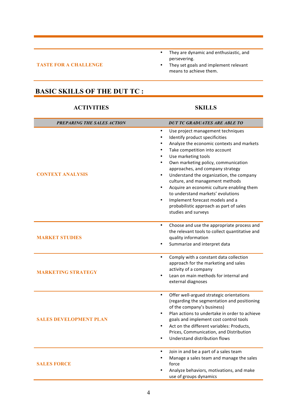# **TASTE FOR A CHALLENGE**

- They are dynamic and enthusiastic, and persevering.
- They set goals and implement relevant means to achieve them.

# **BASIC SKILLS OF THE DUT TC :**

# **ACTIVITIES SKILLS**

| PREPARING THE SALES ACTION    | <b>DUT TC GRADUATES ARE ABLE TO</b>                                                                                                                                                                                                                                                                                                                                                                                                                                                                                                                                                                                                            |
|-------------------------------|------------------------------------------------------------------------------------------------------------------------------------------------------------------------------------------------------------------------------------------------------------------------------------------------------------------------------------------------------------------------------------------------------------------------------------------------------------------------------------------------------------------------------------------------------------------------------------------------------------------------------------------------|
| <b>CONTEXT ANALYSIS</b>       | $\bullet$<br>Use project management techniques<br>Identify product specificities<br>$\bullet$<br>Analyze the economic contexts and markets<br>$\bullet$<br>Take competition into account<br>$\bullet$<br>Use marketing tools<br>$\bullet$<br>Own marketing policy, communication<br>$\bullet$<br>approaches, and company strategy<br>Understand the organization, the company<br>$\bullet$<br>culture, and management methods<br>Acquire an economic culture enabling them<br>$\bullet$<br>to understand markets' evolutions<br>Implement forecast models and a<br>$\bullet$<br>probabilistic approach as part of sales<br>studies and surveys |
| <b>MARKET STUDIES</b>         | $\bullet$<br>Choose and use the appropriate process and<br>the relevant tools to collect quantitative and<br>quality information<br>Summarize and interpret data                                                                                                                                                                                                                                                                                                                                                                                                                                                                               |
| <b>MARKETING STRATEGY</b>     | Comply with a constant data collection<br>$\bullet$<br>approach for the marketing and sales<br>activity of a company<br>Lean on main methods for internal and<br>external diagnoses                                                                                                                                                                                                                                                                                                                                                                                                                                                            |
| <b>SALES DEVELOPMENT PLAN</b> | $\bullet$<br>Offer well-argued strategic orientations<br>(regarding the segmentation and positioning<br>of the company's business)<br>Plan actions to undertake in order to achieve<br>goals and implement cost control tools<br>Act on the different variables: Products,<br>$\bullet$<br>Prices, Communication, and Distribution<br>Understand distribution flows                                                                                                                                                                                                                                                                            |
| <b>SALES FORCE</b>            | Join in and be a part of a sales team<br>$\bullet$<br>Manage a sales team and manage the sales<br>$\bullet$<br>force<br>Analyze behaviors, motivations, and make<br>use of groups dynamics                                                                                                                                                                                                                                                                                                                                                                                                                                                     |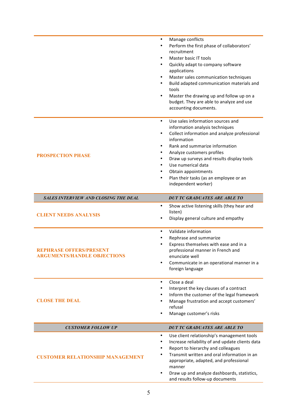|                                                               | Manage conflicts<br>$\bullet$<br>Perform the first phase of collaborators'<br>٠<br>recruitment<br>Master basic IT tools<br>$\bullet$<br>Quickly adapt to company software<br>$\bullet$<br>applications<br>Master sales communication techniques<br>$\bullet$<br>Build adapted communication materials and<br>$\bullet$<br>tools<br>Master the drawing up and follow up on a<br>٠<br>budget. They are able to analyze and use<br>accounting documents. |
|---------------------------------------------------------------|-------------------------------------------------------------------------------------------------------------------------------------------------------------------------------------------------------------------------------------------------------------------------------------------------------------------------------------------------------------------------------------------------------------------------------------------------------|
| <b>PROSPECTION PHASE</b>                                      | Use sales information sources and<br>$\bullet$<br>information analysis techniques<br>Collect information and analyze professional<br>$\bullet$<br>information<br>Rank and summarize information<br>٠<br>Analyze customers profiles<br>٠<br>Draw up surveys and results display tools<br>Use numerical data<br>٠<br>Obtain appointments<br>٠<br>Plan their tasks (as an employee or an<br>$\bullet$<br>independent worker)                             |
| <b>SALES INTERVIEW AND CLOSING THE DEAL</b>                   | <b>DUT TC GRADUATES ARE ABLE TO</b>                                                                                                                                                                                                                                                                                                                                                                                                                   |
| <b>CLIENT NEEDS ANALYSIS</b>                                  | Show active listening skills (they hear and<br>$\bullet$<br>listen)<br>Display general culture and empathy                                                                                                                                                                                                                                                                                                                                            |
| REPHRASE OFFERS/PRESENT<br><b>ARGUMENTS/HANDLE OBJECTIONS</b> | Validate information<br>$\bullet$<br>Rephrase and summarize<br>$\bullet$<br>Express themselves with ease and in a<br>professional manner in French and<br>enunciate well<br>Communicate in an operational manner in a<br>foreign language                                                                                                                                                                                                             |
| <b>CLOSE THE DEAL</b>                                         | Close a deal<br>$\bullet$<br>Interpret the key clauses of a contract<br>٠<br>Inform the customer of the legal framework<br>٠<br>Manage frustration and accept customers'<br>refusal<br>Manage customer's risks                                                                                                                                                                                                                                        |
| <b>CUSTOMER FOLLOW UP</b>                                     | <b>DUT TC GRADUATES ARE ABLE TO</b>                                                                                                                                                                                                                                                                                                                                                                                                                   |
| <b>CUSTOMER RELATIONSHIP MANAGEMENT</b>                       | Use client relationship's management tools<br>$\bullet$<br>Increase reliability of and update clients data<br>٠<br>Report to hierarchy and colleagues<br>٠<br>Transmit written and oral information in an<br>٠<br>appropriate, adapted, and professional<br>manner<br>Draw up and analyze dashboards, statistics,<br>and results follow-up documents                                                                                                  |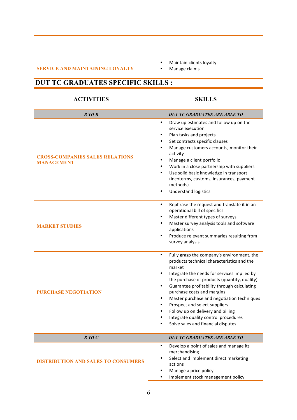# **SERVICE AND MAINTAINING LOYALTY**

- Maintain clients loyalty<br>• Manage claims
	- Manage claims

# **DUT TC GRADUATES SPECIFIC SKILLS :**

# **ACTIVITIES SKILLS**

| <b>B</b> TO B                                               | <b>DUT TC GRADUATES ARE ABLE TO</b>                                                                                                                                                                                                                                                                                                                                                                                                                                                                        |
|-------------------------------------------------------------|------------------------------------------------------------------------------------------------------------------------------------------------------------------------------------------------------------------------------------------------------------------------------------------------------------------------------------------------------------------------------------------------------------------------------------------------------------------------------------------------------------|
| <b>CROSS-COMPANIES SALES RELATIONS</b><br><b>MANAGEMENT</b> | Draw up estimates and follow up on the<br>$\bullet$<br>service execution<br>Plan tasks and projects<br>Set contracts specific clauses<br>Manage customers accounts, monitor their<br>٠<br>activity<br>Manage a client portfolio<br>٠<br>Work in a close partnership with suppliers<br>Use solid basic knowledge in transport<br>(incoterms, customs, insurances, payment<br>methods)<br><b>Understand logistics</b>                                                                                        |
| <b>MARKET STUDIES</b>                                       | Rephrase the request and translate it in an<br>$\bullet$<br>operational bill of specifics<br>Master different types of surveys<br>Master survey analysis tools and software<br>applications<br>Produce relevant summaries resulting from<br>$\bullet$<br>survey analysis                                                                                                                                                                                                                                   |
| <b>PURCHASE NEGOTIATION</b>                                 | Fully grasp the company's environment, the<br>$\bullet$<br>products technical characteristics and the<br>market<br>Integrate the needs for services implied by<br>the purchase of products (quantity, quality)<br>Guarantee profitability through calculating<br>$\bullet$<br>purchase costs and margins<br>Master purchase and negotiation techniques<br>Prospect and select suppliers<br>Follow up on delivery and billing<br>Integrate quality control procedures<br>Solve sales and financial disputes |
| BTOC                                                        | <b>DUT TC GRADUATES ARE ABLE TO</b>                                                                                                                                                                                                                                                                                                                                                                                                                                                                        |
| <b>DISTRIBUTION AND SALES TO CONSUMERS</b>                  | Develop a point of sales and manage its<br>$\bullet$<br>merchandising<br>Select and implement direct marketing<br>actions<br>Manage a price policy<br>Implement stock management policy                                                                                                                                                                                                                                                                                                                    |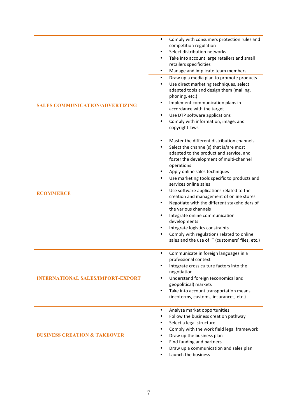| <b>SALES COMMUNICATION/ADVERTIZING</b>   | Comply with consumers protection rules and<br>$\bullet$<br>competition regulation<br>Select distribution networks<br>$\bullet$<br>Take into account large retailers and small<br>$\bullet$<br>retailers specificities<br>Manage and implicate team members<br>$\bullet$<br>Draw up a media plan to promote products<br>$\bullet$<br>Use direct marketing techniques, select<br>$\bullet$<br>adapted tools and design them (mailing,<br>phoning, etc.)<br>Implement communication plans in<br>$\bullet$<br>accordance with the target<br>Use DTP software applications<br>$\bullet$<br>Comply with information, image, and<br>$\bullet$<br>copyright laws                                                                                                      |
|------------------------------------------|---------------------------------------------------------------------------------------------------------------------------------------------------------------------------------------------------------------------------------------------------------------------------------------------------------------------------------------------------------------------------------------------------------------------------------------------------------------------------------------------------------------------------------------------------------------------------------------------------------------------------------------------------------------------------------------------------------------------------------------------------------------|
| <b>ECOMMERCE</b>                         | Master the different distribution channels<br>$\bullet$<br>Select the channel(s) that is/are most<br>$\bullet$<br>adapted to the product and service, and<br>foster the development of multi-channel<br>operations<br>Apply online sales techniques<br>٠<br>Use marketing tools specific to products and<br>$\bullet$<br>services online sales<br>Use software applications related to the<br>$\bullet$<br>creation and management of online stores<br>Negotiate with the different stakeholders of<br>$\bullet$<br>the various channels<br>Integrate online communication<br>$\bullet$<br>developments<br>Integrate logistics constraints<br>٠<br>Comply with regulations related to online<br>$\bullet$<br>sales and the use of IT (customers' files, etc.) |
| <b>INTERNATIONAL SALES/IMPORT-EXPORT</b> | Communicate in foreign languages in a<br>$\bullet$<br>professional context<br>Integrate cross culture factors into the<br>negotiation<br>Understand foreign (economical and<br>$\bullet$<br>geopolitical) markets<br>Take into account transportation means<br>$\bullet$<br>(incoterms, customs, insurances, etc.)                                                                                                                                                                                                                                                                                                                                                                                                                                            |
| <b>BUSINESS CREATION &amp; TAKEOVER</b>  | Analyze market opportunities<br>$\bullet$<br>Follow the business creation pathway<br>Select a legal structure<br>٠<br>Comply with the work field legal framework<br>Draw up the business plan<br>Find funding and partners<br>٠<br>Draw up a communication and sales plan<br>٠<br>Launch the business                                                                                                                                                                                                                                                                                                                                                                                                                                                         |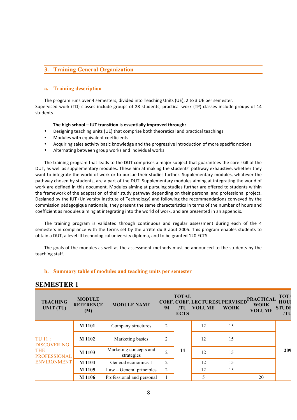# **3. Training General Organization**

# **a. Training description**

The program runs over 4 semesters, divided into Teaching Units (UE), 2 to 3 UE per semester. Supervised work (TD) classes include groups of 28 students; practical work (TP) classes include groups of 14 students. 

## The high school – **IUT** transition is essentially improved through:

- Designing teaching units (UE) that comprise both theoretical and practical teachings
- Modules with equivalent coefficients
- Acquiring sales activity basic knowledge and the progressive introduction of more specific notions
- Alternating between group works and individual works

The training program that leads to the DUT comprises a major subject that guarantees the core skill of the DUT, as well as supplementary modules. These aim at making the students' pathway exhaustive, whether they want to integrate the world of work or to pursue their studies further. Supplementary modules, whatever the pathway chosen by students, are a part of the DUT. Supplementary modules aiming at integrating the world of work are defined in this document. Modules aiming at pursuing studies further are offered to students within the framework of the adaptation of their study pathway depending on their personal and professional project. Designed by the IUT (University Institute of Technology) and following the recommendations conveyed by the commission pédagogique nationale, they present the same characteristics in terms of the number of hours and coefficient as modules aiming at integrating into the world of work, and are presented in an appendix.

The training program is validated through continuous and regular assessment during each of the 4 semesters in compliance with the terms set by the arrêté du 3 août 2005. This program enables students to obtain a DUT, a level III technological university diploma, and to be granted 120 ECTS.

The goals of the modules as well as the assessment methods must be announced to the students by the teaching staff.

# **b. Summary table of modules and teaching units per semester**

| <b>TEACHING</b><br>UNIT (TU)      | <b>MODULE</b><br><b>REFERENCE</b><br>(M) | <b>MODULE NAME</b>                   | /M             | <b>TOTAL</b><br>/TU<br><b>ECTS</b> | COEF. COEF. LECTURESUPERVISED PRACTICAL<br><b>VOLUME</b> | <b>WORK</b> | <b>VOLUME</b> | <b>TOTA</b><br><b>HOU</b><br><b>STUDE</b><br>/TU |
|-----------------------------------|------------------------------------------|--------------------------------------|----------------|------------------------------------|----------------------------------------------------------|-------------|---------------|--------------------------------------------------|
|                                   | M 1101                                   | Company structures                   | $\overline{2}$ |                                    | 12                                                       | 15          |               |                                                  |
| $TU$ 11:<br><b>DISCOVERING</b>    | M 1102                                   | Marketing basics                     | $\overline{2}$ |                                    | 12                                                       | 15          |               |                                                  |
| <b>THE</b><br><b>PROFESSIONAL</b> | M 1103                                   | Marketing concepts and<br>strategies | $\overline{2}$ | 14                                 | 12                                                       | 15          |               | 209                                              |
| <b>ENVIRONMENT</b>                | M 1104                                   | General economics 1                  | 2              |                                    | 12                                                       | 15          |               |                                                  |
|                                   | M 1105                                   | $Law - General principles$           | $\overline{2}$ |                                    | 12                                                       | 15          |               |                                                  |
|                                   | M 1106                                   | Professional and personal            |                |                                    | 5                                                        |             | 20            |                                                  |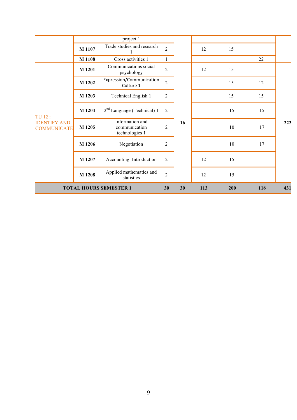|                                                     |        | project 1                                          |                |    |     |     |     |     |
|-----------------------------------------------------|--------|----------------------------------------------------|----------------|----|-----|-----|-----|-----|
|                                                     | M 1107 | Trade studies and research                         | $\overline{2}$ |    | 12  | 15  |     |     |
|                                                     | M 1108 | Cross activities 1                                 | $\mathbf{1}$   |    |     |     | 22  |     |
|                                                     | M 1201 | Communications social<br>psychology                | $\overline{2}$ |    | 12  | 15  |     |     |
|                                                     | M 1202 | Expression/Communication<br>Culture 1              | $\overline{c}$ |    |     | 15  | 12  |     |
| TU 12:<br><b>IDENTIFY AND</b><br><b>COMMUNICATE</b> | M 1203 | Technical English 1                                | $\overline{2}$ |    |     | 15  | 15  |     |
|                                                     | M 1204 | $2nd$ Language (Technical) 1                       | $\overline{2}$ |    |     | 15  | 15  |     |
|                                                     | M 1205 | Information and<br>communication<br>technologies 1 | $\overline{2}$ | 16 |     | 10  | 17  | 222 |
|                                                     | M 1206 | Negotiation                                        | $\overline{2}$ |    |     | 10  | 17  |     |
|                                                     | M 1207 | Accounting: Introduction                           | $\overline{2}$ |    | 12  | 15  |     |     |
|                                                     | M 1208 | Applied mathematics and<br>statistics              | $\overline{2}$ |    | 12  | 15  |     |     |
|                                                     |        | <b>TOTAL HOURS SEMESTER 1</b>                      | 30             | 30 | 113 | 200 | 118 | 431 |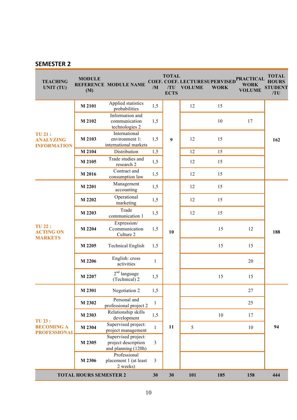| <b>TEACHING</b><br><b>UNIT (TU)</b>                     | <b>MODULE</b><br>(M)          | <b>REFERENCE MODULE NAME</b>                                      | /M           | <b>TOTAL</b><br>/TU<br><b>ECTS</b> | COEF. COEF. LECTURESUPERVISED<br><b>VOLUME</b> | <b>WORK</b> | <b>PRACTICAL</b><br><b>WORK</b><br><b>VOLUME</b> | <b>TOTAL</b><br><b>HOURS</b><br><b>STUDENT</b><br>/TU |
|---------------------------------------------------------|-------------------------------|-------------------------------------------------------------------|--------------|------------------------------------|------------------------------------------------|-------------|--------------------------------------------------|-------------------------------------------------------|
|                                                         | M 2101                        | Applied statistics<br>probabilities                               | 1,5          | 1,5<br>1,5<br>$\boldsymbol{9}$     | 12                                             | 15          |                                                  |                                                       |
|                                                         | M 2102                        | Information and<br>communication<br>technologies 2                |              |                                    |                                                | 10          | 17                                               | 162                                                   |
| <b>TU 21:</b><br><b>ANALYZING</b><br><b>INFORMATION</b> | M 2103                        | International<br>environment 1:<br>international markets          |              |                                    | 12                                             | 15          |                                                  |                                                       |
|                                                         | M 2104                        | Distribution                                                      | 1,5          |                                    | 12                                             | 15          |                                                  |                                                       |
|                                                         | M 2105                        | Trade studies and<br>research 2                                   | 1,5          |                                    | 12                                             | 15          |                                                  |                                                       |
|                                                         | M 2016                        | Contract and<br>consumption law                                   | 1,5          |                                    | 12                                             | 15          |                                                  |                                                       |
|                                                         | M 2201                        | Management<br>accounting                                          | 1,5          |                                    | 12                                             | 15          |                                                  |                                                       |
|                                                         | M 2202                        | Operational<br>marketing                                          | 1,5          |                                    | 12                                             | 15          |                                                  | 188                                                   |
|                                                         | M 2203                        | Trade<br>communication 1                                          | 1,5          | 10                                 | 12                                             | 15          |                                                  |                                                       |
| <b>TU 22:</b><br><b>ACTING ON</b><br><b>MARKETS</b>     | M 2204                        | Expression/<br>Ccommunication<br>Culture 2                        | 1,5          |                                    |                                                | 15          | 12                                               |                                                       |
|                                                         | M 2205                        | <b>Technical English</b>                                          | 1,5          |                                    |                                                | 15          | 15                                               |                                                       |
|                                                         | M 2206                        | English: cross<br>activities                                      | 1            |                                    |                                                |             | $20\,$                                           |                                                       |
|                                                         | M 2207                        | $2nd$ language<br>(Technical) 2                                   | 1,5          |                                    |                                                | 15          | 15                                               |                                                       |
|                                                         | M 2301                        | Negotiation 2                                                     | 1,5          |                                    |                                                |             | 27                                               |                                                       |
|                                                         | M 2302                        | Personal and<br>professional project 2                            | 1            |                                    |                                                |             | 25                                               | 94                                                    |
| <b>TU 23:</b>                                           | M 2303                        | Relationship skills<br>development                                | 1,5          |                                    |                                                | 10          | 17                                               |                                                       |
| <b>BECOMING A</b><br><b>PROFESSIONAL</b>                | M 2304                        | Supervised project:<br>project management                         | $\mathbf{1}$ | 11                                 | 5                                              |             | 10                                               |                                                       |
|                                                         | M 2305                        | Supervised project:<br>project description<br>and planning (120h) | 3            |                                    |                                                |             |                                                  |                                                       |
|                                                         | M 2306                        | Professional<br>placement 1 (at least<br>2 weeks)                 | 3            |                                    |                                                |             |                                                  |                                                       |
|                                                         | <b>TOTAL HOURS SEMESTER 2</b> |                                                                   | 30           | 30                                 | 101                                            | 185         | 158                                              | 444                                                   |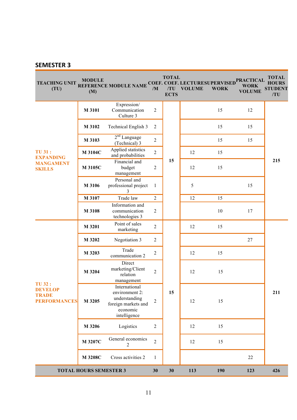| <b>TEACHING UNIT</b><br>(TU)                                           | <b>MODULE</b><br>(M)          | <b>REFERENCE MODULE NAME</b>                                                                        | /M             | <b>TOTAL</b><br><b>ECTS</b> | COEF. COEF. LECTURESUPERVISED<br>/TU VOLUME | <b>WORK</b> | <b>PRACTICAL</b><br><b>WORK</b><br><b>VOLUME</b> | <b>TOTAL</b><br><b>HOURS</b><br><b>STUDENT</b><br>/TU |
|------------------------------------------------------------------------|-------------------------------|-----------------------------------------------------------------------------------------------------|----------------|-----------------------------|---------------------------------------------|-------------|--------------------------------------------------|-------------------------------------------------------|
|                                                                        | M 3101                        | Expression/<br>Communication<br>Culture 3                                                           | $\overline{2}$ |                             |                                             | 15          | 12                                               |                                                       |
|                                                                        | M 3102                        | Technical English 3                                                                                 | $\overline{2}$ |                             |                                             | 15          | 15                                               |                                                       |
|                                                                        | M 3103                        | 2 <sup>nd</sup> Language<br>(Technical) 3                                                           | $\overline{2}$ |                             |                                             | 15          | 15                                               |                                                       |
| <b>TU 31:</b><br><b>EXPANDING</b>                                      | M 3104C                       | Applied statistics<br>and probabilities                                                             | $\overline{2}$ |                             | 12                                          | 15          |                                                  |                                                       |
| <b>MANGAMENT</b><br><b>SKILLS</b>                                      | M 3105C                       | Financial and<br>budget<br>management                                                               | 2              | 15                          | 12                                          | 15          |                                                  | 215                                                   |
|                                                                        | M 3106                        | Personal and<br>professional project<br>3                                                           | 1              |                             | 5                                           |             | 15                                               |                                                       |
|                                                                        | M 3107                        | Trade law                                                                                           | $\overline{2}$ |                             | 12                                          | 15          |                                                  |                                                       |
|                                                                        | M 3108                        | Information and<br>communication<br>technologies 3                                                  | 2              |                             |                                             | 10          | 17                                               |                                                       |
|                                                                        | M 3201                        | Point of sales<br>marketing                                                                         | $\overline{2}$ |                             | 12                                          | 15          |                                                  |                                                       |
|                                                                        | M 3202                        | Negotiation 3                                                                                       | $\overline{2}$ |                             |                                             |             | 27                                               |                                                       |
|                                                                        | M 3203                        | Trade<br>communication 2                                                                            | 2              |                             | 12                                          | 15          |                                                  |                                                       |
|                                                                        | M 3204                        | Direct<br>marketing/Client<br>relation<br>management                                                | $\overline{2}$ | 15                          | 12                                          | 15          |                                                  |                                                       |
| <b>TU 32:</b><br><b>DEVELOP</b><br><b>TRADE</b><br><b>PERFORMANCES</b> | M 3205                        | International<br>environment 2:<br>understanding<br>foreign markets and<br>economic<br>intelligence | $\overline{2}$ |                             | 12                                          | 15          |                                                  | 211                                                   |
|                                                                        | M 3206                        | Logistics                                                                                           | $\overline{2}$ |                             | 12                                          | 15          |                                                  |                                                       |
|                                                                        | M 3207C                       | General economics<br>2                                                                              | $\overline{2}$ |                             | 12                                          | 15          |                                                  |                                                       |
|                                                                        | M 3208C                       | Cross activities 2                                                                                  | 1              |                             |                                             |             | 22                                               |                                                       |
|                                                                        | <b>TOTAL HOURS SEMESTER 3</b> |                                                                                                     | 30             | 30                          | 113                                         | 190         | 123                                              | 426                                                   |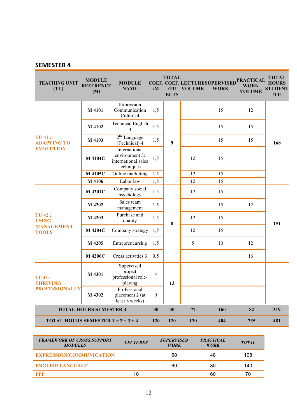| <b>TEACHING UNIT</b><br>(TU)                           | <b>MODULE</b><br><b>REFERENCE</b><br>(M) | <b>MODULE</b><br><b>NAME</b>                                         | /M             | <b>TOTAL</b><br>/TU<br><b>ECTS</b> | <b>VOLUME</b> | <b>COEF. COEF. LECTURESUPERVISED</b><br><b>WORK</b> | <b>PRACTICAL</b><br>WORK<br><b>VOLUME</b> | <b>TOTAL</b><br><b>HOURS</b><br><b>STUDENT</b><br>/TU |
|--------------------------------------------------------|------------------------------------------|----------------------------------------------------------------------|----------------|------------------------------------|---------------|-----------------------------------------------------|-------------------------------------------|-------------------------------------------------------|
|                                                        | M 4101                                   | Expression<br>Communication<br>Culture 4                             | 1,5            |                                    |               | 15                                                  | 12                                        |                                                       |
|                                                        | M 4102                                   | <b>Technical English</b><br>4                                        | 1,5            |                                    |               | 15                                                  | 15                                        |                                                       |
| <b>TU 41:</b><br><b>ADAPTING TO</b>                    | M 4103                                   | $2nd$ Language<br>(Technical) 4                                      | 1,5            | $\boldsymbol{9}$                   |               | 15                                                  | 15                                        | 168                                                   |
| <b>EVOLUTION</b>                                       | <b>M</b> 4104C                           | International<br>environment 3:<br>international sales<br>techniques | 1,5            |                                    | 12            | 15                                                  |                                           |                                                       |
|                                                        | M 4105C                                  | Online marketing                                                     | 1,5            |                                    | 12            | 15                                                  |                                           |                                                       |
|                                                        | M 4106                                   | Labor law                                                            | 1,5            |                                    | 12            | 15                                                  |                                           |                                                       |
|                                                        | M 4201C                                  | Company social<br>psychology                                         | 1,5            |                                    | 12            | 15                                                  |                                           | 151                                                   |
|                                                        | M 4202                                   | Sales team<br>management                                             | 1,5            |                                    |               | 15                                                  | 12                                        |                                                       |
| <b>TU 42:</b><br><b>USING</b>                          | M 4203                                   | Purchase and<br>quality                                              | 1,5            | 8                                  | 12            | 15                                                  |                                           |                                                       |
| <b>MANAGEMENT</b><br><b>TOOLS</b>                      | M 4204C                                  | Company strategy                                                     | 1,5            |                                    | 12            | 15                                                  |                                           |                                                       |
|                                                        | M 4205                                   | Entrepreneurship                                                     | 1.5            |                                    | 5             | 10                                                  | 12                                        |                                                       |
|                                                        | M 4206C                                  | Cross activities 3                                                   | 0,5            |                                    |               |                                                     | 16                                        |                                                       |
| <b>TU 43:</b><br><b>THRIVING</b>                       | M 4301                                   | Supervised<br>project:<br>professional role-<br>playing              | $\overline{4}$ | 13                                 |               |                                                     |                                           |                                                       |
| <b>PROFESSIONALLY</b>                                  | M 4302                                   | Professional<br>placement 2 (at<br>least 8 weeks)                    | 9              |                                    |               |                                                     |                                           |                                                       |
|                                                        | <b>TOTAL HOURS SEMESTER 4</b>            |                                                                      | 30             | 30                                 | 77            | 160                                                 | 82                                        | 319                                                   |
| <b>TOTAL HOURS SEMESTER <math>1 + 2 + 3 + 4</math></b> |                                          |                                                                      | 120            | 120                                | 120           | 404                                                 | 735                                       | 481                                                   |

| <b>FRAMEWORK OF CROSS SUPPORT</b><br><b>MODULES</b> | <b>LECTURES</b> | <b>SUPERVISED</b><br><b>WORK</b> | <b>PRACTICAL</b><br><b>WORK</b> | <b>TOTAL</b> |
|-----------------------------------------------------|-----------------|----------------------------------|---------------------------------|--------------|
| <b>EXPRESSION/COMMUNICATION</b>                     |                 | 60                               | 48                              | 108          |
| <b>ENGLISH LANGUAGE</b>                             |                 | 60                               | 80                              | 140          |
| PPP                                                 |                 |                                  | 60                              | 70           |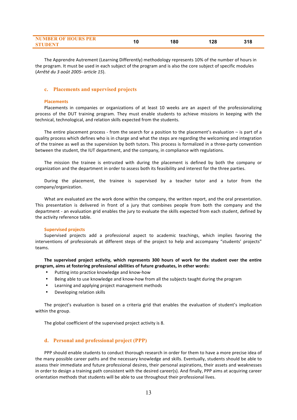| .<br>_________<br>_____ |  |        |  |
|-------------------------|--|--------|--|
|                         |  | $\sim$ |  |

The Apprendre Autrement (Learning Differently) methodology represents 10% of the number of hours in the program. It must be used in each subject of the program and is also the core subject of specific modules (*Arrêté du 3 août 2005- article 15*). 

# **c. Placements and supervised projects**

#### **Placements**

Placements in companies or organizations of at least 10 weeks are an aspect of the professionalizing process of the DUT training program. They must enable students to achieve missions in keeping with the technical, technological, and relation skills expected from the students.

The entire placement process - from the search for a position to the placement's evaluation  $-$  is part of a quality process which defines who is in charge and what the steps are regarding the welcoming and integration of the trainee as well as the supervision by both tutors. This process is formalized in a three-party convention between the student, the IUT department, and the company, in compliance with regulations.

The mission the trainee is entrusted with during the placement is defined by both the company or organization and the department in order to assess both its feasibility and interest for the three parties.

During the placement, the trainee is supervised by a teacher tutor and a tutor from the company/organization. 

What are evaluated are the work done within the company, the written report, and the oral presentation. This presentation is delivered in front of a jury that combines people from both the company and the department - an evaluation grid enables the jury to evaluate the skills expected from each student, defined by the activity reference table.

## **Supervised projects**

Supervised projects add a professional aspect to academic teachings, which implies favoring the interventions of professionals at different steps of the project to help and accompany "students' projects" teams. 

The supervised project activity, which represents 300 hours of work for the student over the entire program, aims at fostering professional abilities of future graduates, in other words:

- Putting into practice knowledge and know-how
- Being able to use knowledge and know-how from all the subjects taught during the program
- Learning and applying project management methods
- Developing relation skills

The project's evaluation is based on a criteria grid that enables the evaluation of student's implication within the group.

The global coefficient of the supervised project activity is 8.

# **d. Personal and professional project (PPP)**

PPP should enable students to conduct thorough research in order for them to have a more precise idea of the many possible career paths and the necessary knowledge and skills. Eventually, students should be able to assess their immediate and future professional desires, their personal aspirations, their assets and weaknesses in order to design a training path consistent with the desired career(s). And finally, PPP aims at acquiring career orientation methods that students will be able to use throughout their professional lives.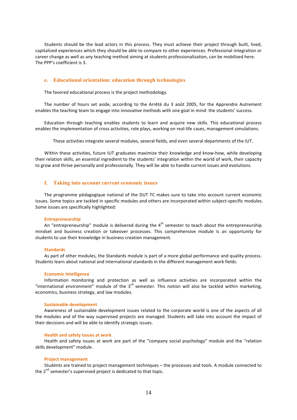Students should be the lead actors in this process. They must achieve their project through built, lived, capitalized experiences which they should be able to compare to other experiences. Professional integration or career change as well as any teaching method aiming at students professionalization, can be mobilized here. The PPP's coefficient is 3.

## **e. Educational orientation: education through technologies**

The favored educational process is the project methodology.

The number of hours set aside, according to the Arrêté du 3 août 2005, for the Apprendre Autrement enables the teaching team to engage into innovative methods with one goal in mind: the students' success.

Education through teaching enables students to learn and acquire new skills. This educational process enables the implementation of cross activities, role plays, working on real-life cases, management simulations.

These activities integrate several modules, several fields, and even several departments of the IUT.

Within these activities, future IUT graduates maximize their knowledge and know-how, while developing their relation skills, an essential ingredient to the students' integration within the world of work, their capacity to grow and thrive personally and professionally. They will be able to handle current issues and evolutions.

# **f. Taking into account current economic issues**

The programme pédagogique national of the DUT TC makes sure to take into account current economic issues. Some topics are tackled in specific modules and others are incorporated within subject-specific modules. Some issues are specifically highlighted:

#### **Entrepreneurship**

An "entrepreneurship" module is delivered during the  $4<sup>th</sup>$  semester to teach about the entrepreneurship mindset and business creation or takeover processes. This comprehensive module is an opportunity for students to use their knowledge in business creation management.

#### **Standards**

As part of other modules, the Standards module is part of a more global performance and quality process. Students learn about national and international standards in the different management work fields.

#### **Economic Intelligence**

Information monitoring and protection as well as influence activities are incorporated within the "international environment" module of the  $3^{rd}$  semester. This notion will also be tackled within marketing, economics, business strategy, and law modules.

#### **Sustainable development**

Awareness of sustainable development issues related to the corporate world is one of the aspects of all the modules and of the way supervised projects are managed. Students will take into account the impact of their decisions and will be able to identify strategic issues.

### **Health and safety issues at work**

Health and safety issues at work are part of the "company social psychology" module and the "relation skills development" module.

#### **Project management**

Students are trained to project management techniques – the processes and tools. A module connected to the  $2^{nd}$  semester's supervised project is dedicated to that topic.